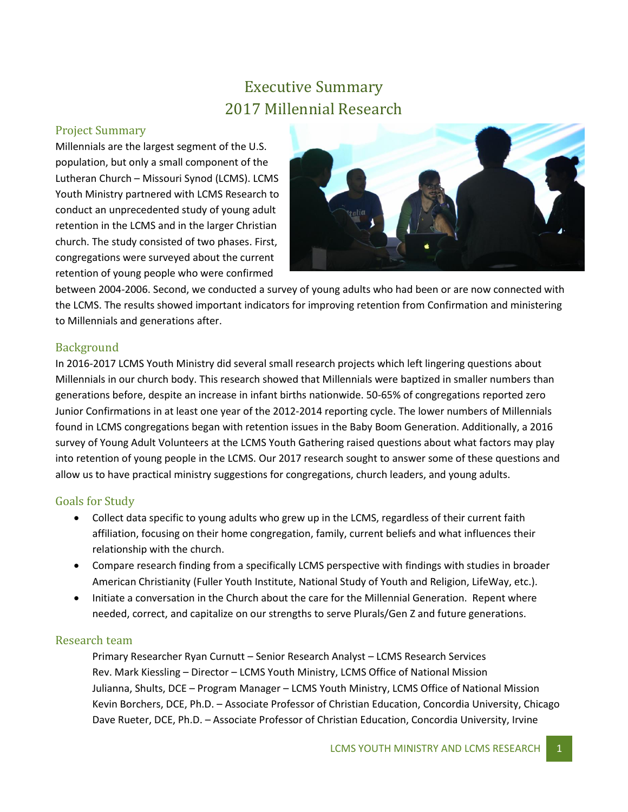# Executive Summary 2017 Millennial Research

## Project Summary

Millennials are the largest segment of the U.S. population, but only a small component of the Lutheran Church – Missouri Synod (LCMS). LCMS Youth Ministry partnered with LCMS Research to conduct an unprecedented study of young adult retention in the LCMS and in the larger Christian church. The study consisted of two phases. First, congregations were surveyed about the current retention of young people who were confirmed



between 2004-2006. Second, we conducted a survey of young adults who had been or are now connected with the LCMS. The results showed important indicators for improving retention from Confirmation and ministering to Millennials and generations after.

## Background

In 2016-2017 LCMS Youth Ministry did several small research projects which left lingering questions about Millennials in our church body. This research showed that Millennials were baptized in smaller numbers than generations before, despite an increase in infant births nationwide. 50-65% of congregations reported zero Junior Confirmations in at least one year of the 2012-2014 reporting cycle. The lower numbers of Millennials found in LCMS congregations began with retention issues in the Baby Boom Generation. Additionally, a 2016 survey of Young Adult Volunteers at the LCMS Youth Gathering raised questions about what factors may play into retention of young people in the LCMS. Our 2017 research sought to answer some of these questions and allow us to have practical ministry suggestions for congregations, church leaders, and young adults.

## Goals for Study

- Collect data specific to young adults who grew up in the LCMS, regardless of their current faith affiliation, focusing on their home congregation, family, current beliefs and what influences their relationship with the church.
- Compare research finding from a specifically LCMS perspective with findings with studies in broader American Christianity (Fuller Youth Institute, National Study of Youth and Religion, LifeWay, etc.).
- Initiate a conversation in the Church about the care for the Millennial Generation. Repent where needed, correct, and capitalize on our strengths to serve Plurals/Gen Z and future generations.

#### Research team

Primary Researcher Ryan Curnutt – Senior Research Analyst – LCMS Research Services Rev. Mark Kiessling – Director – LCMS Youth Ministry, LCMS Office of National Mission Julianna, Shults, DCE – Program Manager – LCMS Youth Ministry, LCMS Office of National Mission Kevin Borchers, DCE, Ph.D. – Associate Professor of Christian Education, Concordia University, Chicago Dave Rueter, DCE, Ph.D. – Associate Professor of Christian Education, Concordia University, Irvine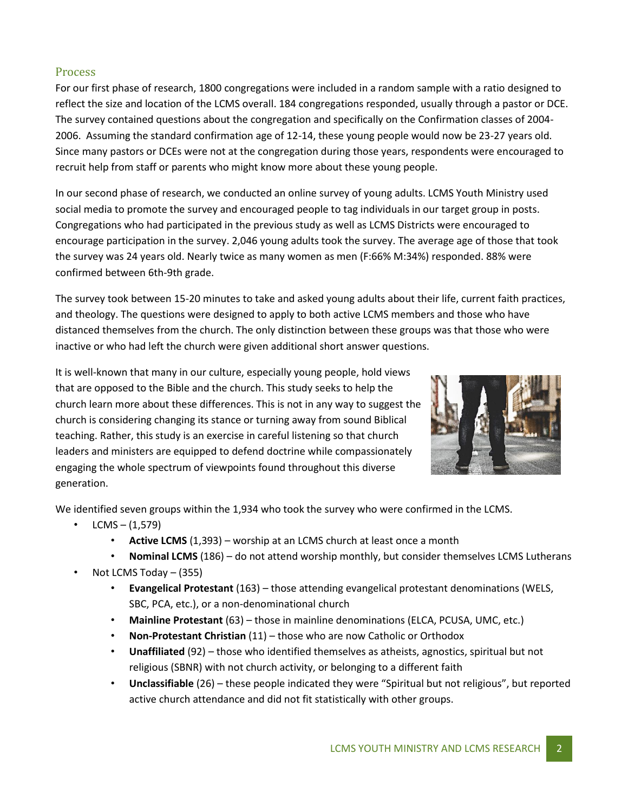#### Process

For our first phase of research, 1800 congregations were included in a random sample with a ratio designed to reflect the size and location of the LCMS overall. 184 congregations responded, usually through a pastor or DCE. The survey contained questions about the congregation and specifically on the Confirmation classes of 2004- 2006. Assuming the standard confirmation age of 12-14, these young people would now be 23-27 years old. Since many pastors or DCEs were not at the congregation during those years, respondents were encouraged to recruit help from staff or parents who might know more about these young people.

In our second phase of research, we conducted an online survey of young adults. LCMS Youth Ministry used social media to promote the survey and encouraged people to tag individuals in our target group in posts. Congregations who had participated in the previous study as well as LCMS Districts were encouraged to encourage participation in the survey. 2,046 young adults took the survey. The average age of those that took the survey was 24 years old. Nearly twice as many women as men (F:66% M:34%) responded. 88% were confirmed between 6th-9th grade.

The survey took between 15-20 minutes to take and asked young adults about their life, current faith practices, and theology. The questions were designed to apply to both active LCMS members and those who have distanced themselves from the church. The only distinction between these groups was that those who were inactive or who had left the church were given additional short answer questions.

It is well-known that many in our culture, especially young people, hold views that are opposed to the Bible and the church. This study seeks to help the church learn more about these differences. This is not in any way to suggest the church is considering changing its stance or turning away from sound Biblical teaching. Rather, this study is an exercise in careful listening so that church leaders and ministers are equipped to defend doctrine while compassionately engaging the whole spectrum of viewpoints found throughout this diverse generation.



We identified seven groups within the 1,934 who took the survey who were confirmed in the LCMS.

- $LCMS (1,579)$ 
	- **Active LCMS** (1,393) worship at an LCMS church at least once a month
	- **Nominal LCMS** (186) do not attend worship monthly, but consider themselves LCMS Lutherans
- Not LCMS Today (355)
	- **Evangelical Protestant** (163) those attending evangelical protestant denominations (WELS, SBC, PCA, etc.), or a non-denominational church
	- **Mainline Protestant** (63) those in mainline denominations (ELCA, PCUSA, UMC, etc.)
	- **Non-Protestant Christian** (11) those who are now Catholic or Orthodox
	- **Unaffiliated** (92) those who identified themselves as atheists, agnostics, spiritual but not religious (SBNR) with not church activity, or belonging to a different faith
	- **Unclassifiable** (26) these people indicated they were "Spiritual but not religious", but reported active church attendance and did not fit statistically with other groups.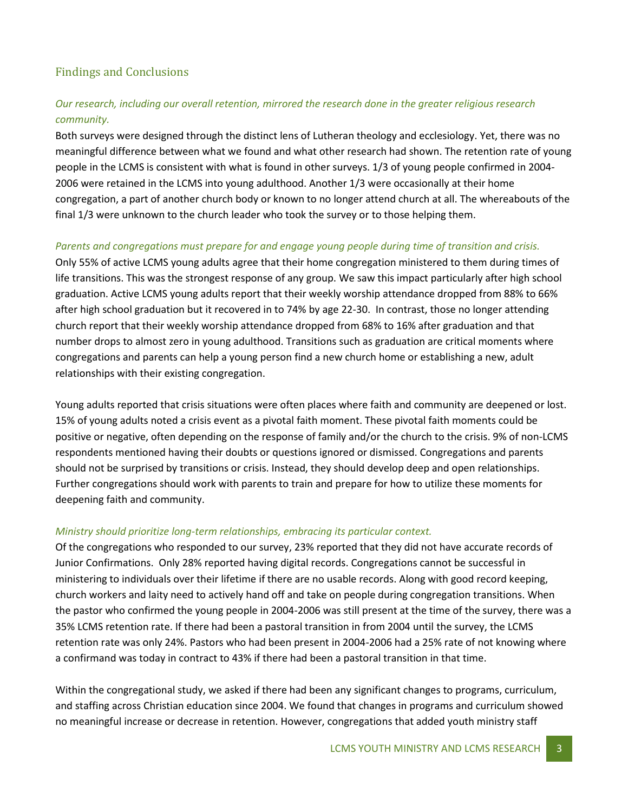## Findings and Conclusions

## *Our research, including our overall retention, mirrored the research done in the greater religious research community.*

Both surveys were designed through the distinct lens of Lutheran theology and ecclesiology. Yet, there was no meaningful difference between what we found and what other research had shown. The retention rate of young people in the LCMS is consistent with what is found in other surveys. 1/3 of young people confirmed in 2004- 2006 were retained in the LCMS into young adulthood. Another 1/3 were occasionally at their home congregation, a part of another church body or known to no longer attend church at all. The whereabouts of the final 1/3 were unknown to the church leader who took the survey or to those helping them.

#### *Parents and congregations must prepare for and engage young people during time of transition and crisis.*

Only 55% of active LCMS young adults agree that their home congregation ministered to them during times of life transitions. This was the strongest response of any group. We saw this impact particularly after high school graduation. Active LCMS young adults report that their weekly worship attendance dropped from 88% to 66% after high school graduation but it recovered in to 74% by age 22-30. In contrast, those no longer attending church report that their weekly worship attendance dropped from 68% to 16% after graduation and that number drops to almost zero in young adulthood. Transitions such as graduation are critical moments where congregations and parents can help a young person find a new church home or establishing a new, adult relationships with their existing congregation.

Young adults reported that crisis situations were often places where faith and community are deepened or lost. 15% of young adults noted a crisis event as a pivotal faith moment. These pivotal faith moments could be positive or negative, often depending on the response of family and/or the church to the crisis. 9% of non-LCMS respondents mentioned having their doubts or questions ignored or dismissed. Congregations and parents should not be surprised by transitions or crisis. Instead, they should develop deep and open relationships. Further congregations should work with parents to train and prepare for how to utilize these moments for deepening faith and community.

#### *Ministry should prioritize long-term relationships, embracing its particular context.*

Of the congregations who responded to our survey, 23% reported that they did not have accurate records of Junior Confirmations. Only 28% reported having digital records. Congregations cannot be successful in ministering to individuals over their lifetime if there are no usable records. Along with good record keeping, church workers and laity need to actively hand off and take on people during congregation transitions. When the pastor who confirmed the young people in 2004-2006 was still present at the time of the survey, there was a 35% LCMS retention rate. If there had been a pastoral transition in from 2004 until the survey, the LCMS retention rate was only 24%. Pastors who had been present in 2004-2006 had a 25% rate of not knowing where a confirmand was today in contract to 43% if there had been a pastoral transition in that time.

Within the congregational study, we asked if there had been any significant changes to programs, curriculum, and staffing across Christian education since 2004. We found that changes in programs and curriculum showed no meaningful increase or decrease in retention. However, congregations that added youth ministry staff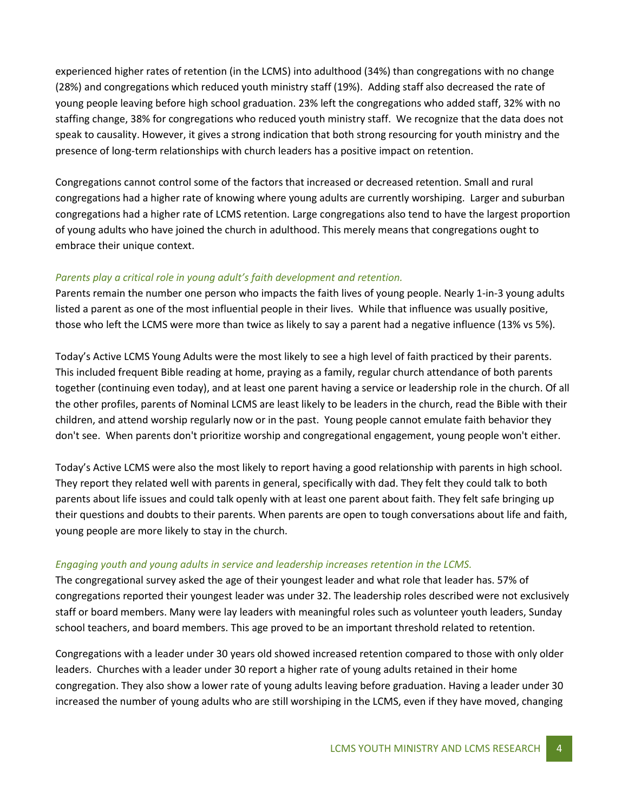experienced higher rates of retention (in the LCMS) into adulthood (34%) than congregations with no change (28%) and congregations which reduced youth ministry staff (19%). Adding staff also decreased the rate of young people leaving before high school graduation. 23% left the congregations who added staff, 32% with no staffing change, 38% for congregations who reduced youth ministry staff. We recognize that the data does not speak to causality. However, it gives a strong indication that both strong resourcing for youth ministry and the presence of long-term relationships with church leaders has a positive impact on retention.

Congregations cannot control some of the factors that increased or decreased retention. Small and rural congregations had a higher rate of knowing where young adults are currently worshiping. Larger and suburban congregations had a higher rate of LCMS retention. Large congregations also tend to have the largest proportion of young adults who have joined the church in adulthood. This merely means that congregations ought to embrace their unique context.

#### *Parents play a critical role in young adult's faith development and retention.*

Parents remain the number one person who impacts the faith lives of young people. Nearly 1-in-3 young adults listed a parent as one of the most influential people in their lives. While that influence was usually positive, those who left the LCMS were more than twice as likely to say a parent had a negative influence (13% vs 5%).

Today's Active LCMS Young Adults were the most likely to see a high level of faith practiced by their parents. This included frequent Bible reading at home, praying as a family, regular church attendance of both parents together (continuing even today), and at least one parent having a service or leadership role in the church. Of all the other profiles, parents of Nominal LCMS are least likely to be leaders in the church, read the Bible with their children, and attend worship regularly now or in the past. Young people cannot emulate faith behavior they don't see. When parents don't prioritize worship and congregational engagement, young people won't either.

Today's Active LCMS were also the most likely to report having a good relationship with parents in high school. They report they related well with parents in general, specifically with dad. They felt they could talk to both parents about life issues and could talk openly with at least one parent about faith. They felt safe bringing up their questions and doubts to their parents. When parents are open to tough conversations about life and faith, young people are more likely to stay in the church.

#### *Engaging youth and young adults in service and leadership increases retention in the LCMS.*

The congregational survey asked the age of their youngest leader and what role that leader has. 57% of congregations reported their youngest leader was under 32. The leadership roles described were not exclusively staff or board members. Many were lay leaders with meaningful roles such as volunteer youth leaders, Sunday school teachers, and board members. This age proved to be an important threshold related to retention.

Congregations with a leader under 30 years old showed increased retention compared to those with only older leaders. Churches with a leader under 30 report a higher rate of young adults retained in their home congregation. They also show a lower rate of young adults leaving before graduation. Having a leader under 30 increased the number of young adults who are still worshiping in the LCMS, even if they have moved, changing